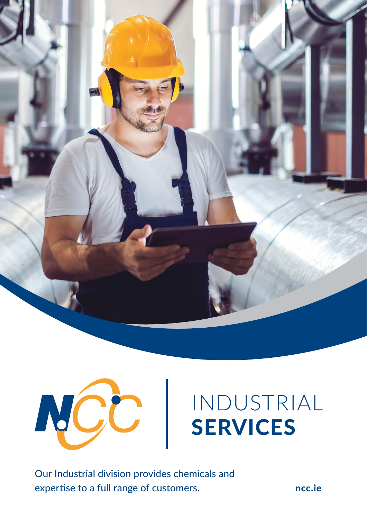



# [INDUSTRIAL](https://www.ncc.ie/industry-solutions/industrial-solutions)  SERVICES

Our Industrial division provides chemicals and expertise to a full range of customers.

[ncc.ie](https://www.ncc.ie/)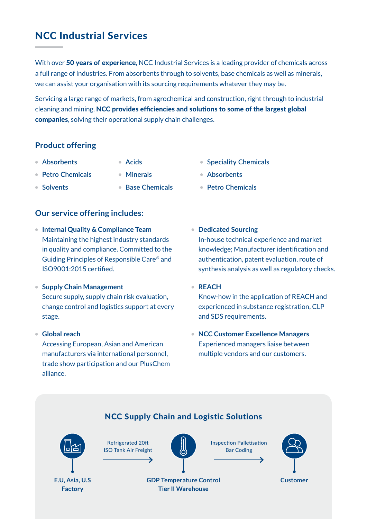## NCC Industrial Services

With over 50 years of experience, NCC Industrial Services is a leading provider of chemicals across a full range of industries. From absorbents through to solvents, base chemicals as well as minerals, we can assist your organisation with its sourcing requirements whatever they may be.

Servicing a large range of markets, from agrochemical and construction, right through to industrial cleaning and mining. NCC provides efficiencies and solutions to some of the largest global companies, solving their operational supply chain challenges.

### **Product offering**

- **Absorbents**
- **Acids**
- **Petro Chemicals**
- **Minerals**
- **Solvents**
- **Base Chemicals**
- **Speciality Chemicals**
- **Absorbents**
- **Petro Chemicals**

#### **Our service offering includes:**

- **Internal Quality & Compliance Team** Maintaining the highest industry standards in quality and compliance. Committed to the Guiding Principles of Responsible Care® and ISO9001:2015 certified.
- **Supply Chain Management** Secure supply, supply chain risk evaluation, change control and logistics support at every stage.
- **Global reach**

Accessing European, Asian and American manufacturers via international personnel, trade show participation and our PlusChem alliance.

• **Dedicated Sourcing** In-house technical experience and market

knowledge; Manufacturer identification and authentication, patent evaluation, route of synthesis analysis as well as regulatory checks.

• **REACH**

Know-how in the application of REACH and experienced in substance registration, CLP and SDS requirements.

• **NCC Customer Excellence Managers** Experienced managers liaise between multiple vendors and our customers.

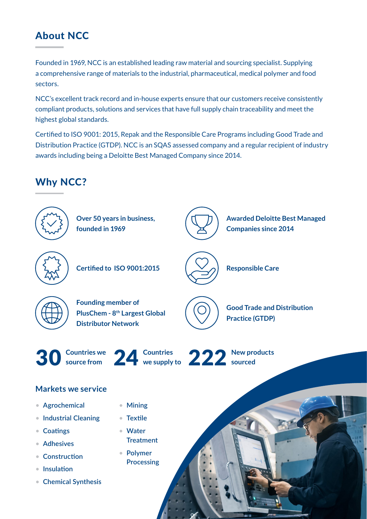# About NCC

Founded in 1969, NCC is an established leading raw material and sourcing specialist. Supplying a comprehensive range of materials to the industrial, pharmaceutical, medical polymer and food sectors.

NCC's excellent track record and in-house experts ensure that our customers receive consistently compliant products, solutions and services that have full supply chain traceability and meet the highest global standards.

Certified to ISO 9001: 2015, Repak and the Responsible Care Programs including Good Trade and Distribution Practice (GTDP). NCC is an SQAS assessed company and a regular recipient of industry awards including being a Deloitte Best Managed Company since 2014.

# Why NCC?



- **Coatings**
- **Adhesives**
- **Construction**
- **Insulation**
- **Chemical Synthesis**
- **Water Treatment**
- **Polymer Processing**